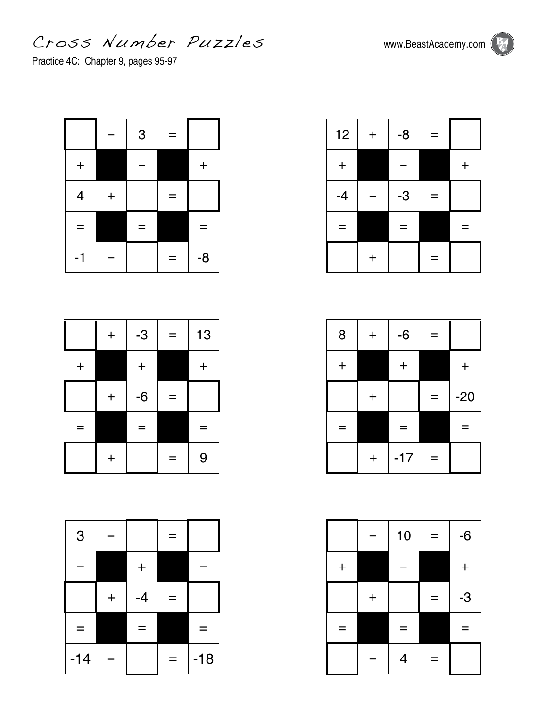Cross Number Puzz les www.BeastAcademy.com

Practice 4C: Chapter 9, pages 95-97

|                          |         | 3 | $=$ |         |
|--------------------------|---------|---|-----|---------|
| $\ddagger$               |         |   |     | $\ddag$ |
| $\overline{\mathcal{A}}$ | $\ddag$ |   | =   |         |
| ᆖ                        |         | ═ |     |         |
| -1                       |         |   | ═   | $-8$    |

|         | $\ddag$   | $-3$    | ═   | 13      |
|---------|-----------|---------|-----|---------|
| $\ddag$ |           | $\ddag$ |     | $\ddag$ |
|         | $\ddot{}$ | $-6$    | $=$ |         |
| ═       |           | ═       |     | =       |
|         | $\ddag$   |         | $=$ | 9       |

| 3     |            |         |   |       |
|-------|------------|---------|---|-------|
|       |            | $\ddag$ |   |       |
|       | $\ddagger$ | $-4$    | Ξ |       |
| ═     |            | ÷       |   | ═     |
| $-14$ |            |         | ÷ | $-18$ |

| 12         | $\ddag$ | $-8$ | ═ |         |
|------------|---------|------|---|---------|
| $\ddagger$ |         |      |   | $\ddag$ |
| $-4$       |         | $-3$ | - |         |
|            |         | Ξ    |   |         |
|            | $\ddag$ |      |   |         |

| 8       | $\ddag$ | $-6$  | т |         |
|---------|---------|-------|---|---------|
| $\ddag$ |         | ┿     |   | $\ddag$ |
|         | $\ddag$ |       | = | $-20$   |
| ═       |         | ÷     |   | Ξ       |
|         | $\ddag$ | $-17$ | ═ |         |

|       |            | 10             | ═  | $-6$    |
|-------|------------|----------------|----|---------|
| $\pm$ |            |                |    | $\ddag$ |
|       | $\ddagger$ |                | ÷. | $-3$    |
| ÷     |            | =              |    | –       |
|       |            | $\overline{4}$ | ═  |         |

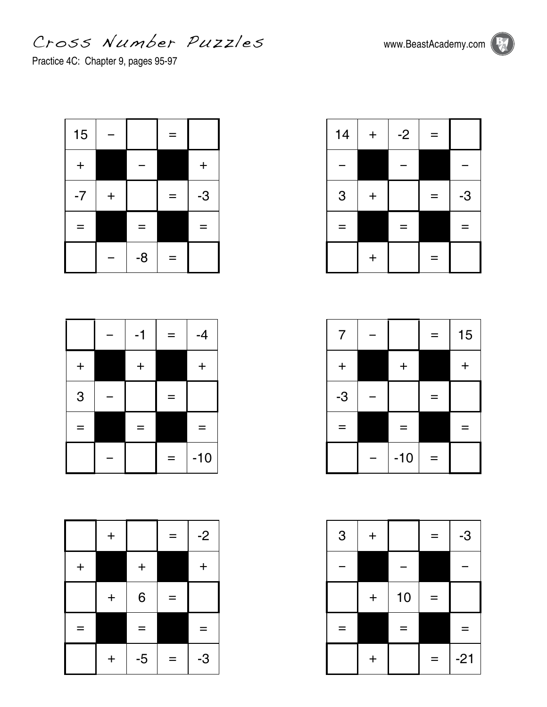Cross Number Puzz les www.BeastAcademy.com

Practice 4C: Chapter 9, pages 95-97

| 15         |         |      | =   |         |
|------------|---------|------|-----|---------|
| $\ddagger$ |         |      |     | $\ddag$ |
| $-7$       | $\ddag$ |      | Ξ   | $-3$    |
|            |         | =    |     |         |
|            |         | $-8$ | $=$ |         |

|           | $-1$    | ═ | $-4$  |
|-----------|---------|---|-------|
| $\ddot{}$ | $\ddag$ |   | $\pm$ |
| 3         |         | = |       |
|           | Ξ       |   | =     |
|           |         | = | $-10$ |

|         | $\ddagger$ |         | Ξ   | $-2$    |
|---------|------------|---------|-----|---------|
| $\ddag$ |            | $\ddag$ |     | $\ddag$ |
|         | $\ddag$    | 6       | $=$ |         |
| ═       |            | =       |     | =       |
|         | $\ddag$    | $-5$    | =   | -3      |

| 14 | $\ddot{}$ | $-2$ | ═ |      |
|----|-----------|------|---|------|
|    |           |      |   |      |
| 3  | $\ddot{}$ |      |   | $-3$ |
| -  |           |      |   | -    |
|    | $\ddag$   |      | Ξ |      |

| $\overline{7}$ |       |   | 15 |
|----------------|-------|---|----|
| $\ddag$        | $\pm$ |   | ╇  |
| $-3$           |       | – |    |
| ═              | Ξ     |   |    |
|                | $-10$ | – |    |

| 3 | $\ddag$ |    | -   | $-3$  |
|---|---------|----|-----|-------|
|   |         |    |     |       |
|   | $\ddag$ | 10 | ═   |       |
|   |         | ═  |     | -     |
|   | $\ddag$ |    | e e | $-21$ |